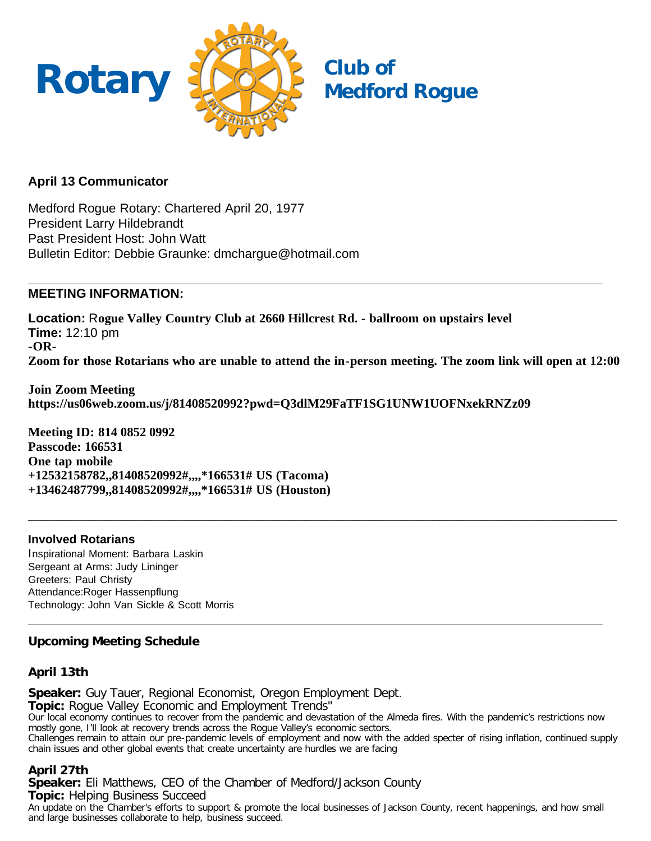

# **April 13 Communicator**

Medford Rogue Rotary: Chartered April 20, 1977 President Larry Hildebrandt Past President Host: John Watt Bulletin Editor: Debbie Graunke: dmchargue@hotmail.com

#### **\_\_\_\_\_\_\_\_\_\_\_\_\_\_\_\_\_\_\_\_\_\_\_\_\_\_\_\_\_\_\_\_\_\_\_\_\_\_\_\_\_\_\_\_\_\_\_\_\_\_\_\_\_\_\_\_\_\_\_\_\_\_\_\_\_\_\_\_\_\_\_\_\_\_\_\_\_\_\_\_\_ MEETING INFORMATION:**

**Location:** R**ogue Valley Country Club at 2660 Hillcrest Rd. - ballroom on upstairs level Time:** 12:10 pm **-OR-Zoom for those Rotarians who are unable to attend the in-person meeting. The zoom link will open at 12:00**

**\_\_\_\_\_\_\_\_\_\_\_\_\_\_\_\_\_\_\_\_\_\_\_\_\_\_\_\_\_\_\_\_\_\_\_\_\_\_\_\_\_\_\_\_\_\_\_\_\_\_\_\_\_\_\_\_\_\_\_\_\_\_\_\_\_\_\_\_\_\_\_\_\_\_\_\_\_\_\_\_\_\_\_**

**Join Zoom Meeting https://us06web.zoom.us/j/81408520992?pwd=Q3dlM29FaTF1SG1UNW1UOFNxekRNZz09**

**Meeting ID: 814 0852 0992 Passcode: 166531 One tap mobile +12532158782,,81408520992#,,,,\*166531# US (Tacoma) +13462487799,,81408520992#,,,,\*166531# US (Houston)**

# **Involved Rotarians**

Inspirational Moment: Barbara Laskin Sergeant at Arms: Judy Lininger Greeters: Paul Christy Attendance:Roger Hassenpflung Technology: John Van Sickle & Scott Morris

# **Upcoming Meeting Schedule**

## **April 13th**

**Speaker:** Guy Tauer, Regional Economist, Oregon Employment Dept. **Topic:** Rogue Valley Economic and Employment Trends" Our local economy continues to recover from the pandemic and devastation of the Almeda fires. With the pandemic's restrictions now mostly gone, I'll look at recovery trends across the Rogue Valley's economic sectors. Challenges remain to attain our pre-pandemic levels of employment and now with the added specter of rising inflation, continued supply chain issues and other global events that create uncertainty are hurdles we are facing

**\_\_\_\_\_\_\_\_\_\_\_\_\_\_\_\_\_\_\_\_\_\_\_\_\_\_\_\_\_\_\_\_\_\_\_\_\_\_\_\_\_\_\_\_\_\_\_\_\_\_\_\_\_\_\_\_\_\_\_\_\_\_\_\_\_\_\_\_\_\_\_\_\_\_\_\_\_\_\_\_\_**

# **April 27th**

**Speaker:** Eli Matthews, CEO of the Chamber of Medford/Jackson County **Topic:** Helping Business Succeed An update on the Chamber's efforts to support & promote the local businesses of Jackson County, recent happenings, and how small and large businesses collaborate to help, business succeed.